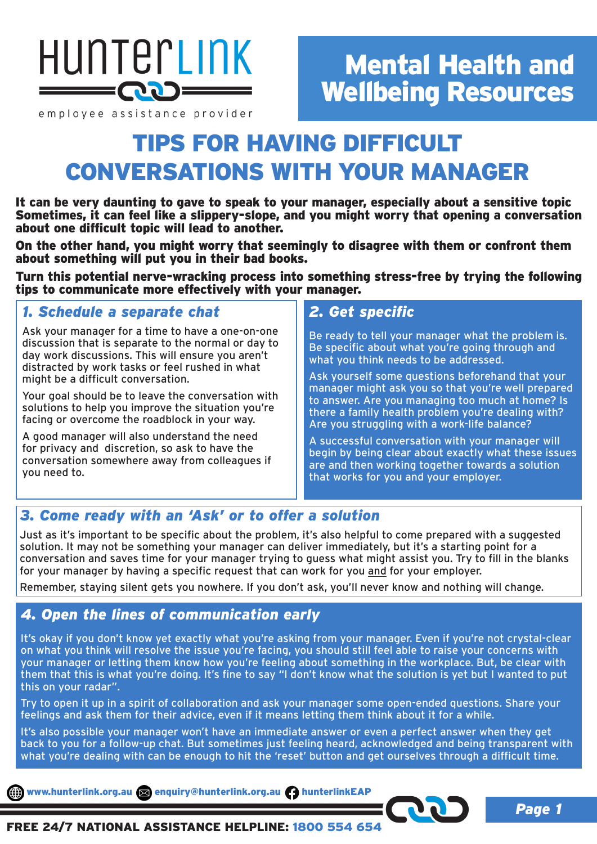

#### employee assistance provider

# Mental Health and Wellbeing Resources

# TIPS FOR HAVING DIFFICULT CONVERSATIONS WITH YOUR MANAGER

It can be very daunting to gave to speak to your manager, especially about a sensitive topic Sometimes, it can feel like a slippery-slope, and you might worry that opening a conversation about one difficult topic will lead to another.

On the other hand, you might worry that seemingly to disagree with them or confront them about something will put you in their bad books.

Turn this potential nerve-wracking process into something stress-free by trying the following tips to communicate more effectively with your manager.

# *1. Schedule a separate chat*

Ask your manager for a time to have a one-on-one discussion that is separate to the normal or day to day work discussions. This will ensure you aren't distracted by work tasks or feel rushed in what might be a difficult conversation.

Your goal should be to leave the conversation with solutions to help you improve the situation you're facing or overcome the roadblock in your way.

A good manager will also understand the need for privacy and discretion, so ask to have the conversation somewhere away from colleagues if you need to.

# *2. Get specific*

Be ready to tell your manager what the problem is. Be specific about what you're going through and what you think needs to be addressed.

Ask yourself some questions beforehand that your manager might ask you so that you're well prepared to answer. Are you managing too much at home? Is there a family health problem you're dealing with? Are you struggling with a work-life balance?

A successful conversation with your manager will begin by being clear about exactly what these issues are and then working together towards a solution that works for you and your employer.

# *3. Come ready with an 'Ask' or to offer a solution*

Just as it's important to be specific about the problem, it's also helpful to come prepared with a suggested solution. It may not be something your manager can deliver immediately, but it's a starting point for a conversation and saves time for your manager trying to guess what might assist you. Try to fill in the blanks for your manager by having a specific request that can work for you and for your employer.

Remember, staying silent gets you nowhere. If you don't ask, you'll never know and nothing will change.

# *4. Open the lines of communication early*

It's okay if you don't know yet exactly what you're asking from your manager. Even if you're not crystal-clear on what you think will resolve the issue you're facing, you should still feel able to raise your concerns with your manager or letting them know how you're feeling about something in the workplace. But, be clear with them that this is what you're doing. It's fine to say "I don't know what the solution is yet but I wanted to put this on your radar".

Try to open it up in a spirit of collaboration and ask your manager some open-ended questions. Share your feelings and ask them for their advice, even if it means letting them think about it for a while.

It's also possible your manager won't have an immediate answer or even a perfect answer when they get back to you for a follow-up chat. But sometimes just feeling heard, acknowledged and being transparent with what you're dealing with can be enough to hit the 'reset' button and get ourselves through a difficult time.

www.hunterlink.org.au and enquiry@hunterlink.org.au hunterlinkEAP

*Page 1*

FREE 24/7 NATIONAL ASSISTANCE HELPLINE: 1800 554 654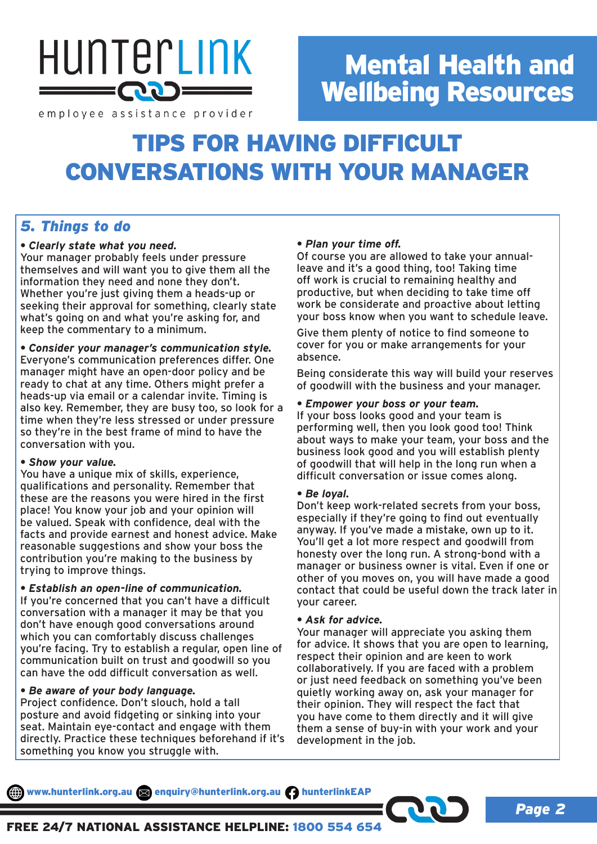

# Mental Health and Wellbeing Resources

employee assistance provider

# TIPS FOR HAVING DIFFICULT CONVERSATIONS WITH YOUR MANAGER

# *5. Things to do*

## *• Clearly state what you need.*

Your manager probably feels under pressure themselves and will want you to give them all the information they need and none they don't. Whether you're just giving them a heads-up or seeking their approval for something, clearly state what's going on and what you're asking for, and keep the commentary to a minimum.

*• Consider your manager's communication style.* Everyone's communication preferences differ. One manager might have an open-door policy and be ready to chat at any time. Others might prefer a heads-up via email or a calendar invite. Timing is also key. Remember, they are busy too, so look for a time when they're less stressed or under pressure so they're in the best frame of mind to have the conversation with you.

## *• Show your value.*

You have a unique mix of skills, experience, qualifications and personality. Remember that these are the reasons you were hired in the first place! You know your job and your opinion will be valued. Speak with confidence, deal with the facts and provide earnest and honest advice. Make reasonable suggestions and show your boss the contribution you're making to the business by trying to improve things.

## *• Establish an open-line of communication.*

If you're concerned that you can't have a difficult conversation with a manager it may be that you don't have enough good conversations around which you can comfortably discuss challenges you're facing. Try to establish a regular, open line of communication built on trust and goodwill so you can have the odd difficult conversation as well.

# *• Be aware of your body language.*

Project confidence. Don't slouch, hold a tall posture and avoid fidgeting or sinking into your seat. Maintain eye-contact and engage with them directly. Practice these techniques beforehand if it's something you know you struggle with.

# *• Plan your time off.*

Of course you are allowed to take your annualleave and it's a good thing, too! Taking time off work is crucial to remaining healthy and productive, but when deciding to take time off work be considerate and proactive about letting your boss know when you want to schedule leave.

Give them plenty of notice to find someone to cover for you or make arrangements for your absence.

Being considerate this way will build your reserves of goodwill with the business and your manager.

## *• Empower your boss or your team.*

If your boss looks good and your team is performing well, then you look good too! Think about ways to make your team, your boss and the business look good and you will establish plenty of goodwill that will help in the long run when a difficult conversation or issue comes along.

## *• Be loyal.*

Don't keep work-related secrets from your boss, especially if they're going to find out eventually anyway. If you've made a mistake, own up to it. You'll get a lot more respect and goodwill from honesty over the long run. A strong-bond with a manager or business owner is vital. Even if one or other of you moves on, you will have made a good contact that could be useful down the track later in your career.

## *• Ask for advice.*

Your manager will appreciate you asking them for advice. It shows that you are open to learning, respect their opinion and are keen to work collaboratively. If you are faced with a problem or just need feedback on something you've been quietly working away on, ask your manager for their opinion. They will respect the fact that you have come to them directly and it will give them a sense of buy-in with your work and your development in the job.

www.hunterlink.org.au and enquiry@hunterlink.org.au hunterlinkEAP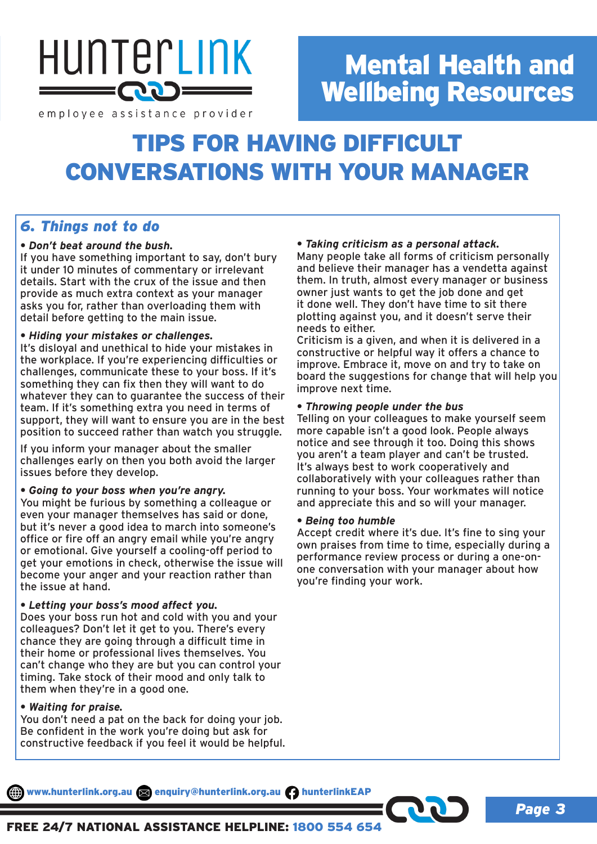

# Mental Health and Wellbeing Resources

employee assistance provider

# TIPS FOR HAVING DIFFICULT CONVERSATIONS WITH YOUR MANAGER

# *6. Things not to do*

## *• Don't beat around the bush.*

If you have something important to say, don't bury it under 10 minutes of commentary or irrelevant details. Start with the crux of the issue and then provide as much extra context as your manager asks you for, rather than overloading them with detail before getting to the main issue.

## *• Hiding your mistakes or challenges.*

It's disloyal and unethical to hide your mistakes in the workplace. If you're experiencing difficulties or challenges, communicate these to your boss. If it's something they can fix then they will want to do whatever they can to guarantee the success of their team. If it's something extra you need in terms of support, they will want to ensure you are in the best position to succeed rather than watch you struggle.

If you inform your manager about the smaller challenges early on then you both avoid the larger issues before they develop.

## *• Going to your boss when you're angry.*

You might be furious by something a colleague or even your manager themselves has said or done, but it's never a good idea to march into someone's office or fire off an angry email while you're angry or emotional. Give yourself a cooling-off period to get your emotions in check, otherwise the issue will become your anger and your reaction rather than the issue at hand.

## *• Letting your boss's mood affect you.*

Does your boss run hot and cold with you and your colleagues? Don't let it get to you. There's every chance they are going through a difficult time in their home or professional lives themselves. You can't change who they are but you can control your timing. Take stock of their mood and only talk to them when they're in a good one.

## *• Waiting for praise.*

You don't need a pat on the back for doing your job. Be confident in the work you're doing but ask for constructive feedback if you feel it would be helpful.

# *• Taking criticism as a personal attack.*

Many people take all forms of criticism personally and believe their manager has a vendetta against them. In truth, almost every manager or business owner just wants to get the job done and get it done well. They don't have time to sit there plotting against you, and it doesn't serve their needs to either.

Criticism is a given, and when it is delivered in a constructive or helpful way it offers a chance to improve. Embrace it, move on and try to take on board the suggestions for change that will help you improve next time.

## *• Throwing people under the bus*

Telling on your colleagues to make yourself seem more capable isn't a good look. People always notice and see through it too. Doing this shows you aren't a team player and can't be trusted. It's always best to work cooperatively and collaboratively with your colleagues rather than running to your boss. Your workmates will notice and appreciate this and so will your manager.

## *• Being too humble*

Accept credit where it's due. It's fine to sing your own praises from time to time, especially during a performance review process or during a one-onone conversation with your manager about how you're finding your work.

www.hunterlink.org.au and enquiry@hunterlink.org.au hunterlinkEAP